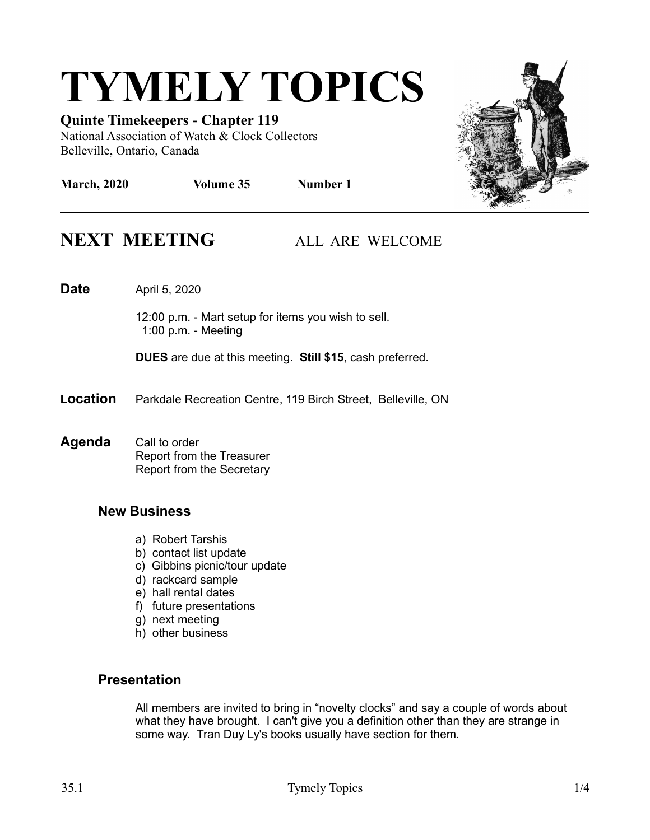# **TYMELY TOPICS**

**Quinte Timekeepers - Chapter 119** National Association of Watch & Clock Collectors Belleville, Ontario, Canada



## **NEXT MEETING ALL ARE WELCOME**

**Date** April 5, 2020

12:00 p.m. - Mart setup for items you wish to sell. 1:00 p.m. - Meeting

**DUES** are due at this meeting. **Still \$15**, cash preferred.

- **Location** Parkdale Recreation Centre, 119 Birch Street, Belleville, ON
- **Agenda** Call to order Report from the Treasurer Report from the Secretary

#### **New Business**

- a) Robert Tarshis
- b) contact list update
- c) Gibbins picnic/tour update
- d) rackcard sample
- e) hall rental dates
- f) future presentations
- g) next meeting
- h) other business

#### **Presentation**

All members are invited to bring in "novelty clocks" and say a couple of words about what they have brought. I can't give you a definition other than they are strange in some way. Tran Duy Ly's books usually have section for them.

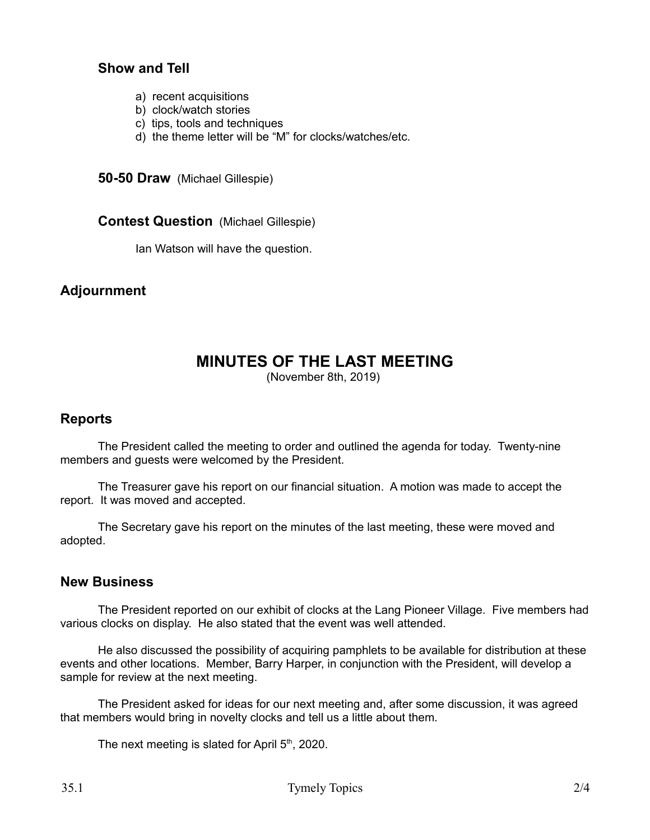#### **Show and Tell**

- a) recent acquisitions
- b) clock/watch stories
- c) tips, tools and techniques
- d) the theme letter will be "M" for clocks/watches/etc.

**50-50 Draw** (Michael Gillespie)

**Contest Question** (Michael Gillespie)

Ian Watson will have the question.

#### **Adjournment**

### **MINUTES OF THE LAST MEETING**

(November 8th, 2019)

#### **Reports**

The President called the meeting to order and outlined the agenda for today. Twenty-nine members and guests were welcomed by the President.

The Treasurer gave his report on our financial situation. A motion was made to accept the report. It was moved and accepted.

The Secretary gave his report on the minutes of the last meeting, these were moved and adopted.

#### **New Business**

The President reported on our exhibit of clocks at the Lang Pioneer Village. Five members had various clocks on display. He also stated that the event was well attended.

He also discussed the possibility of acquiring pamphlets to be available for distribution at these events and other locations. Member, Barry Harper, in conjunction with the President, will develop a sample for review at the next meeting.

The President asked for ideas for our next meeting and, after some discussion, it was agreed that members would bring in novelty clocks and tell us a little about them.

The next meeting is slated for April  $5<sup>th</sup>$ , 2020.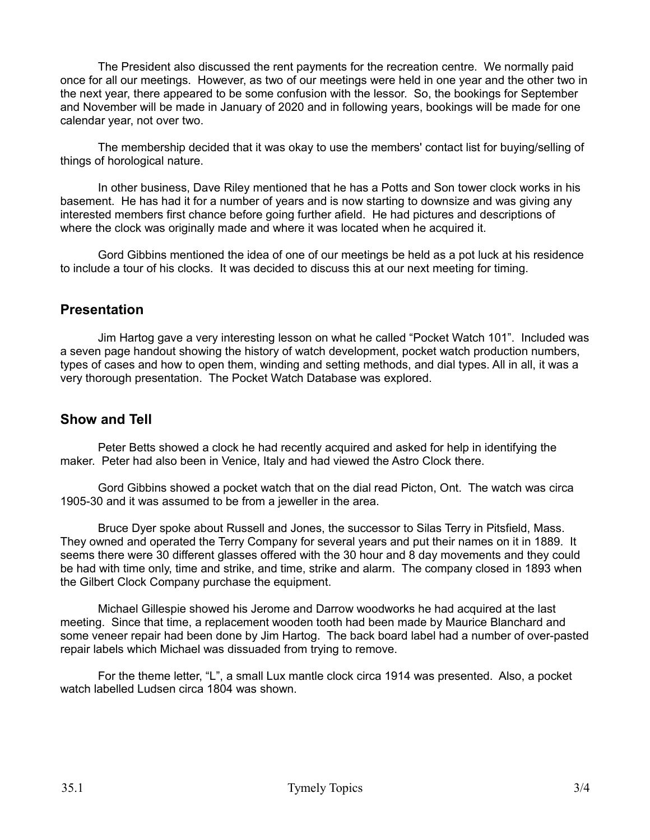The President also discussed the rent payments for the recreation centre. We normally paid once for all our meetings. However, as two of our meetings were held in one year and the other two in the next year, there appeared to be some confusion with the lessor. So, the bookings for September and November will be made in January of 2020 and in following years, bookings will be made for one calendar year, not over two.

The membership decided that it was okay to use the members' contact list for buying/selling of things of horological nature.

In other business, Dave Riley mentioned that he has a Potts and Son tower clock works in his basement. He has had it for a number of years and is now starting to downsize and was giving any interested members first chance before going further afield. He had pictures and descriptions of where the clock was originally made and where it was located when he acquired it.

Gord Gibbins mentioned the idea of one of our meetings be held as a pot luck at his residence to include a tour of his clocks. It was decided to discuss this at our next meeting for timing.

#### **Presentation**

Jim Hartog gave a very interesting lesson on what he called "Pocket Watch 101". Included was a seven page handout showing the history of watch development, pocket watch production numbers, types of cases and how to open them, winding and setting methods, and dial types. All in all, it was a very thorough presentation. The Pocket Watch Database was explored.

#### **Show and Tell**

Peter Betts showed a clock he had recently acquired and asked for help in identifying the maker. Peter had also been in Venice, Italy and had viewed the Astro Clock there.

Gord Gibbins showed a pocket watch that on the dial read Picton, Ont. The watch was circa 1905-30 and it was assumed to be from a jeweller in the area.

Bruce Dyer spoke about Russell and Jones, the successor to Silas Terry in Pitsfield, Mass. They owned and operated the Terry Company for several years and put their names on it in 1889. It seems there were 30 different glasses offered with the 30 hour and 8 day movements and they could be had with time only, time and strike, and time, strike and alarm. The company closed in 1893 when the Gilbert Clock Company purchase the equipment.

Michael Gillespie showed his Jerome and Darrow woodworks he had acquired at the last meeting. Since that time, a replacement wooden tooth had been made by Maurice Blanchard and some veneer repair had been done by Jim Hartog. The back board label had a number of over-pasted repair labels which Michael was dissuaded from trying to remove.

For the theme letter, "L", a small Lux mantle clock circa 1914 was presented. Also, a pocket watch labelled Ludsen circa 1804 was shown.